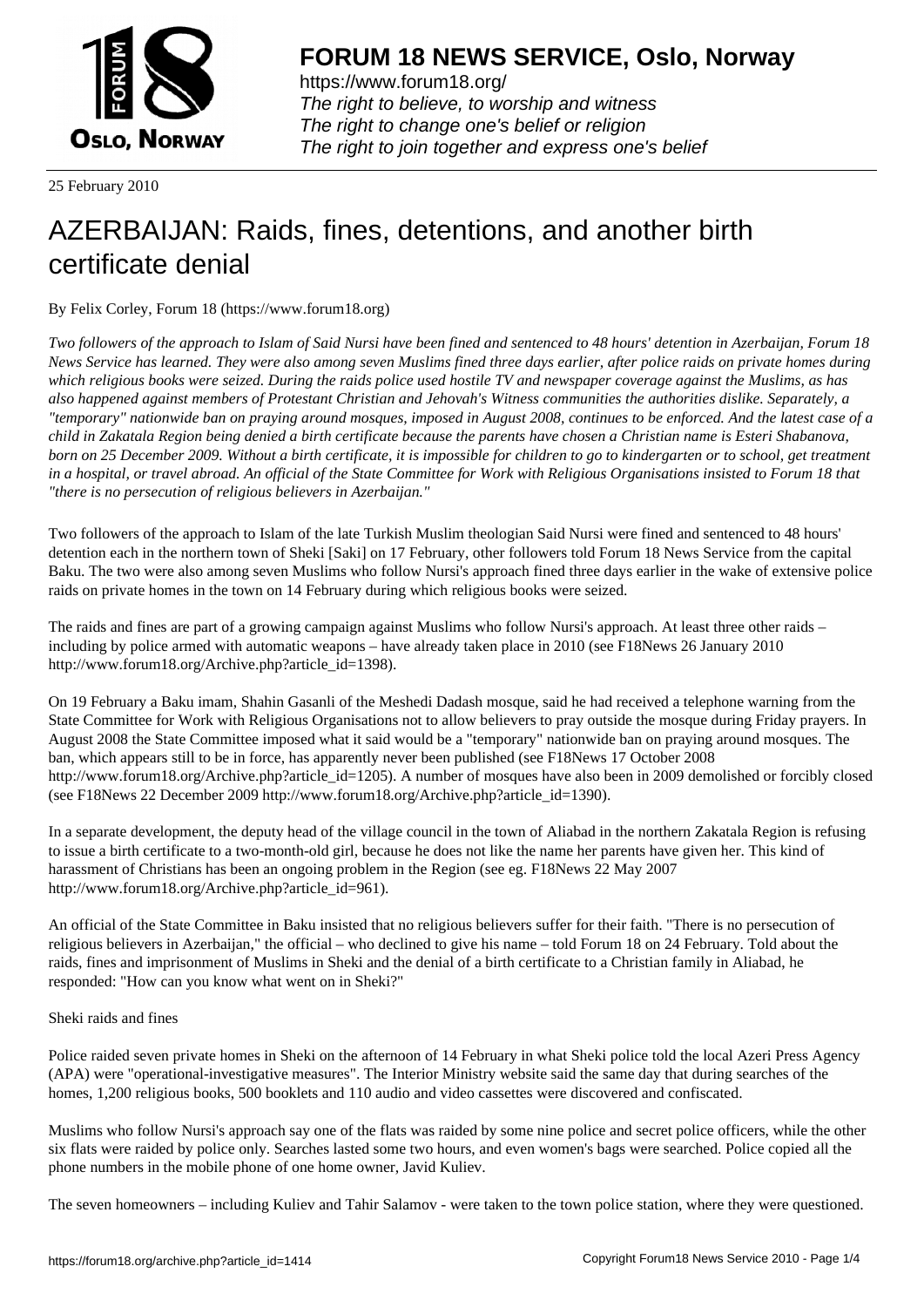

https://www.forum18.org/ The right to believe, to worship and witness The right to change one's belief or religion [The right to join together a](https://www.forum18.org/)nd express one's belief

25 February 2010

# [AZERBAIJAN: R](https://www.forum18.org)aids, fines, detentions, and another birth certificate denial

By Felix Corley, Forum 18 (https://www.forum18.org)

*Two followers of the approach to Islam of Said Nursi have been fined and sentenced to 48 hours' detention in Azerbaijan, Forum 18 News Service has learned. They were also among seven Muslims fined three days earlier, after police raids on private homes during which religious books were seized. During the raids police used hostile TV and newspaper coverage against the Muslims, as has also happened against members of Protestant Christian and Jehovah's Witness communities the authorities dislike. Separately, a "temporary" nationwide ban on praying around mosques, imposed in August 2008, continues to be enforced. And the latest case of a child in Zakatala Region being denied a birth certificate because the parents have chosen a Christian name is Esteri Shabanova, born on 25 December 2009. Without a birth certificate, it is impossible for children to go to kindergarten or to school, get treatment in a hospital, or travel abroad. An official of the State Committee for Work with Religious Organisations insisted to Forum 18 that "there is no persecution of religious believers in Azerbaijan."*

Two followers of the approach to Islam of the late Turkish Muslim theologian Said Nursi were fined and sentenced to 48 hours' detention each in the northern town of Sheki [Saki] on 17 February, other followers told Forum 18 News Service from the capital Baku. The two were also among seven Muslims who follow Nursi's approach fined three days earlier in the wake of extensive police raids on private homes in the town on 14 February during which religious books were seized.

The raids and fines are part of a growing campaign against Muslims who follow Nursi's approach. At least three other raids – including by police armed with automatic weapons – have already taken place in 2010 (see F18News 26 January 2010 http://www.forum18.org/Archive.php?article\_id=1398).

On 19 February a Baku imam, Shahin Gasanli of the Meshedi Dadash mosque, said he had received a telephone warning from the State Committee for Work with Religious Organisations not to allow believers to pray outside the mosque during Friday prayers. In August 2008 the State Committee imposed what it said would be a "temporary" nationwide ban on praying around mosques. The ban, which appears still to be in force, has apparently never been published (see F18News 17 October 2008 http://www.forum18.org/Archive.php?article\_id=1205). A number of mosques have also been in 2009 demolished or forcibly closed (see F18News 22 December 2009 http://www.forum18.org/Archive.php?article\_id=1390).

In a separate development, the deputy head of the village council in the town of Aliabad in the northern Zakatala Region is refusing to issue a birth certificate to a two-month-old girl, because he does not like the name her parents have given her. This kind of harassment of Christians has been an ongoing problem in the Region (see eg. F18News 22 May 2007 http://www.forum18.org/Archive.php?article\_id=961).

An official of the State Committee in Baku insisted that no religious believers suffer for their faith. "There is no persecution of religious believers in Azerbaijan," the official – who declined to give his name – told Forum 18 on 24 February. Told about the raids, fines and imprisonment of Muslims in Sheki and the denial of a birth certificate to a Christian family in Aliabad, he responded: "How can you know what went on in Sheki?"

Sheki raids and fines

Police raided seven private homes in Sheki on the afternoon of 14 February in what Sheki police told the local Azeri Press Agency (APA) were "operational-investigative measures". The Interior Ministry website said the same day that during searches of the homes, 1,200 religious books, 500 booklets and 110 audio and video cassettes were discovered and confiscated.

Muslims who follow Nursi's approach say one of the flats was raided by some nine police and secret police officers, while the other six flats were raided by police only. Searches lasted some two hours, and even women's bags were searched. Police copied all the phone numbers in the mobile phone of one home owner, Javid Kuliev.

The seven homeowners – including Kuliev and Tahir Salamov - were taken to the town police station, where they were questioned.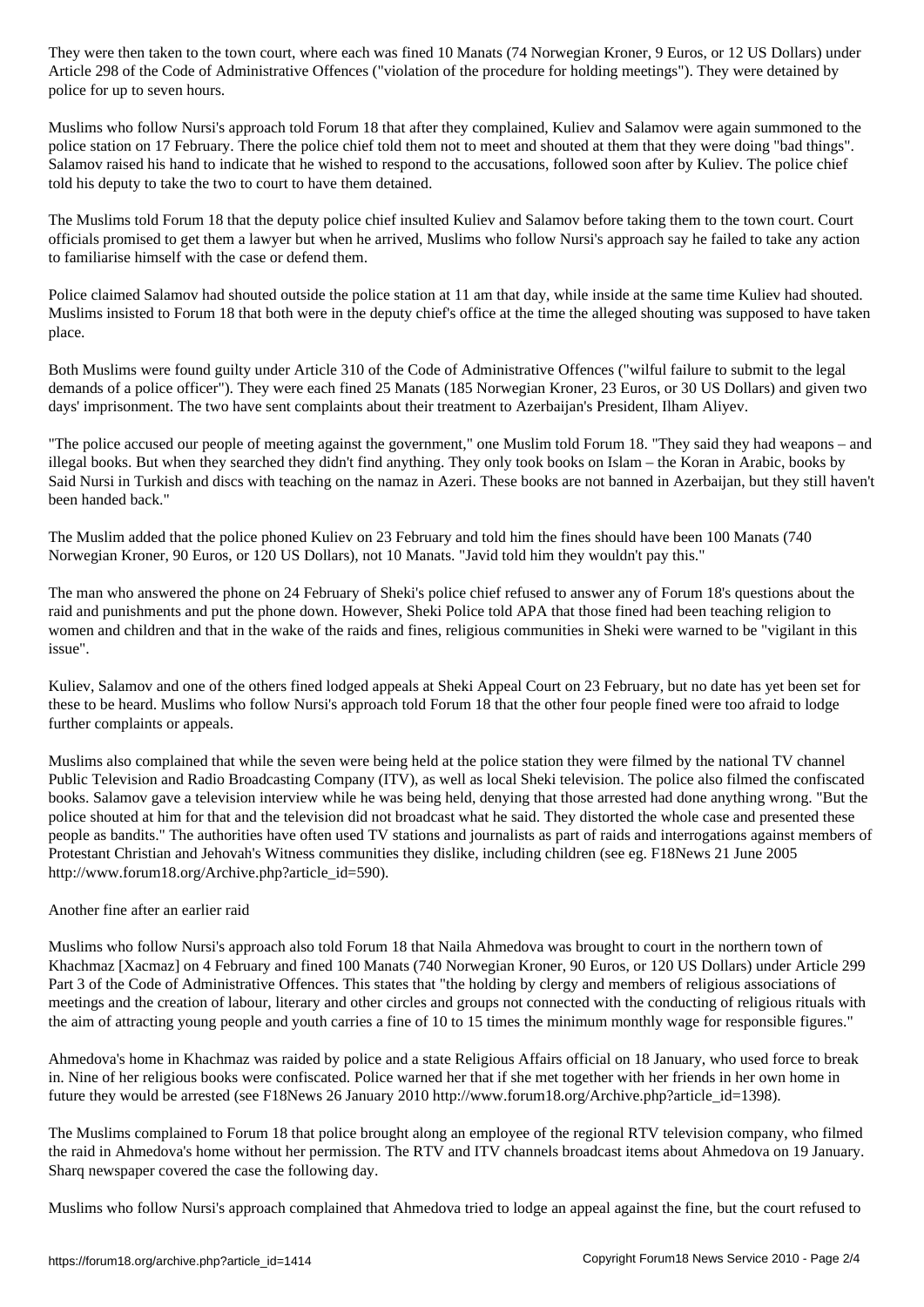Article 298 of Administrative Offences ("violation of the procedure for holding meetings"). They were detained by  $\mathcal{P}_\text{c}$ police for up to seven hours.

Muslims who follow Nursi's approach told Forum 18 that after they complained, Kuliev and Salamov were again summoned to the police station on 17 February. There the police chief told them not to meet and shouted at them that they were doing "bad things". Salamov raised his hand to indicate that he wished to respond to the accusations, followed soon after by Kuliev. The police chief told his deputy to take the two to court to have them detained.

The Muslims told Forum 18 that the deputy police chief insulted Kuliev and Salamov before taking them to the town court. Court officials promised to get them a lawyer but when he arrived, Muslims who follow Nursi's approach say he failed to take any action to familiarise himself with the case or defend them.

Police claimed Salamov had shouted outside the police station at 11 am that day, while inside at the same time Kuliev had shouted. Muslims insisted to Forum 18 that both were in the deputy chief's office at the time the alleged shouting was supposed to have taken place.

Both Muslims were found guilty under Article 310 of the Code of Administrative Offences ("wilful failure to submit to the legal demands of a police officer"). They were each fined 25 Manats (185 Norwegian Kroner, 23 Euros, or 30 US Dollars) and given two days' imprisonment. The two have sent complaints about their treatment to Azerbaijan's President, Ilham Aliyev.

"The police accused our people of meeting against the government," one Muslim told Forum 18. "They said they had weapons – and illegal books. But when they searched they didn't find anything. They only took books on Islam – the Koran in Arabic, books by Said Nursi in Turkish and discs with teaching on the namaz in Azeri. These books are not banned in Azerbaijan, but they still haven't been handed back."

The Muslim added that the police phoned Kuliev on 23 February and told him the fines should have been 100 Manats (740 Norwegian Kroner, 90 Euros, or 120 US Dollars), not 10 Manats. "Javid told him they wouldn't pay this."

The man who answered the phone on 24 February of Sheki's police chief refused to answer any of Forum 18's questions about the raid and punishments and put the phone down. However, Sheki Police told APA that those fined had been teaching religion to women and children and that in the wake of the raids and fines, religious communities in Sheki were warned to be "vigilant in this issue".

Kuliev, Salamov and one of the others fined lodged appeals at Sheki Appeal Court on 23 February, but no date has yet been set for these to be heard. Muslims who follow Nursi's approach told Forum 18 that the other four people fined were too afraid to lodge further complaints or appeals.

Muslims also complained that while the seven were being held at the police station they were filmed by the national TV channel Public Television and Radio Broadcasting Company (ITV), as well as local Sheki television. The police also filmed the confiscated books. Salamov gave a television interview while he was being held, denying that those arrested had done anything wrong. "But the police shouted at him for that and the television did not broadcast what he said. They distorted the whole case and presented these people as bandits." The authorities have often used TV stations and journalists as part of raids and interrogations against members of Protestant Christian and Jehovah's Witness communities they dislike, including children (see eg. F18News 21 June 2005 http://www.forum18.org/Archive.php?article\_id=590).

# Another fine after an earlier raid

Muslims who follow Nursi's approach also told Forum 18 that Naila Ahmedova was brought to court in the northern town of Khachmaz [Xacmaz] on 4 February and fined 100 Manats (740 Norwegian Kroner, 90 Euros, or 120 US Dollars) under Article 299 Part 3 of the Code of Administrative Offences. This states that "the holding by clergy and members of religious associations of meetings and the creation of labour, literary and other circles and groups not connected with the conducting of religious rituals with the aim of attracting young people and youth carries a fine of 10 to 15 times the minimum monthly wage for responsible figures."

Ahmedova's home in Khachmaz was raided by police and a state Religious Affairs official on 18 January, who used force to break in. Nine of her religious books were confiscated. Police warned her that if she met together with her friends in her own home in future they would be arrested (see F18News 26 January 2010 http://www.forum18.org/Archive.php?article\_id=1398).

The Muslims complained to Forum 18 that police brought along an employee of the regional RTV television company, who filmed the raid in Ahmedova's home without her permission. The RTV and ITV channels broadcast items about Ahmedova on 19 January. Sharq newspaper covered the case the following day.

Muslims who follow Nursi's approach complained that Ahmedova tried to lodge an appeal against the fine, but the court refused to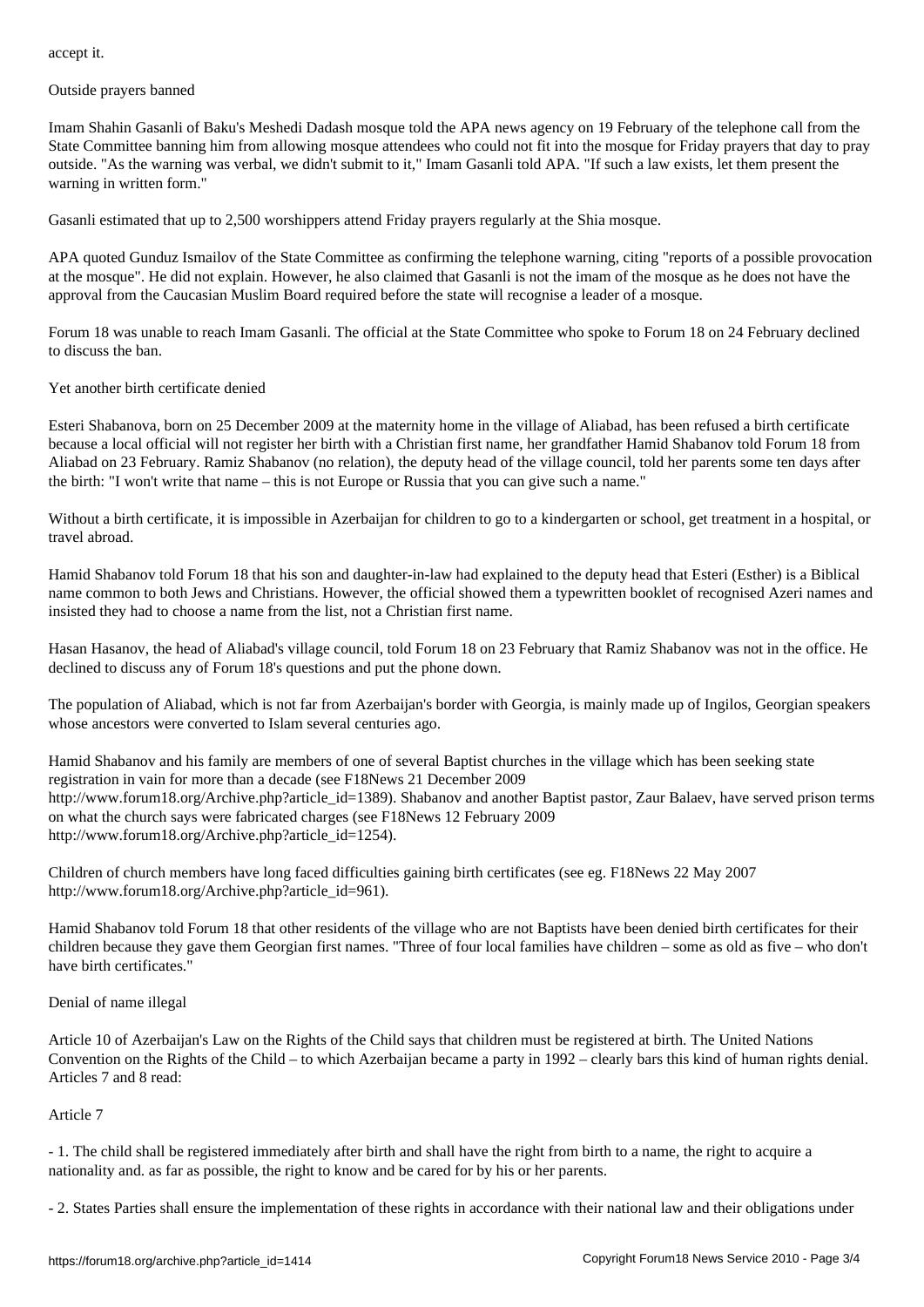Outside prayers banned

Imam Shahin Gasanli of Baku's Meshedi Dadash mosque told the APA news agency on 19 February of the telephone call from the State Committee banning him from allowing mosque attendees who could not fit into the mosque for Friday prayers that day to pray outside. "As the warning was verbal, we didn't submit to it," Imam Gasanli told APA. "If such a law exists, let them present the warning in written form."

Gasanli estimated that up to 2,500 worshippers attend Friday prayers regularly at the Shia mosque.

APA quoted Gunduz Ismailov of the State Committee as confirming the telephone warning, citing "reports of a possible provocation at the mosque". He did not explain. However, he also claimed that Gasanli is not the imam of the mosque as he does not have the approval from the Caucasian Muslim Board required before the state will recognise a leader of a mosque.

Forum 18 was unable to reach Imam Gasanli. The official at the State Committee who spoke to Forum 18 on 24 February declined to discuss the ban.

### Yet another birth certificate denied

Esteri Shabanova, born on 25 December 2009 at the maternity home in the village of Aliabad, has been refused a birth certificate because a local official will not register her birth with a Christian first name, her grandfather Hamid Shabanov told Forum 18 from Aliabad on 23 February. Ramiz Shabanov (no relation), the deputy head of the village council, told her parents some ten days after the birth: "I won't write that name – this is not Europe or Russia that you can give such a name."

Without a birth certificate, it is impossible in Azerbaijan for children to go to a kindergarten or school, get treatment in a hospital, or travel abroad.

Hamid Shabanov told Forum 18 that his son and daughter-in-law had explained to the deputy head that Esteri (Esther) is a Biblical name common to both Jews and Christians. However, the official showed them a typewritten booklet of recognised Azeri names and insisted they had to choose a name from the list, not a Christian first name.

Hasan Hasanov, the head of Aliabad's village council, told Forum 18 on 23 February that Ramiz Shabanov was not in the office. He declined to discuss any of Forum 18's questions and put the phone down.

The population of Aliabad, which is not far from Azerbaijan's border with Georgia, is mainly made up of Ingilos, Georgian speakers whose ancestors were converted to Islam several centuries ago.

Hamid Shabanov and his family are members of one of several Baptist churches in the village which has been seeking state registration in vain for more than a decade (see F18News 21 December 2009 http://www.forum18.org/Archive.php?article\_id=1389). Shabanov and another Baptist pastor, Zaur Balaev, have served prison terms on what the church says were fabricated charges (see F18News 12 February 2009 http://www.forum18.org/Archive.php?article\_id=1254).

Children of church members have long faced difficulties gaining birth certificates (see eg. F18News 22 May 2007 http://www.forum18.org/Archive.php?article\_id=961).

Hamid Shabanov told Forum 18 that other residents of the village who are not Baptists have been denied birth certificates for their children because they gave them Georgian first names. "Three of four local families have children – some as old as five – who don't have birth certificates."

#### Denial of name illegal

Article 10 of Azerbaijan's Law on the Rights of the Child says that children must be registered at birth. The United Nations Convention on the Rights of the Child – to which Azerbaijan became a party in 1992 – clearly bars this kind of human rights denial. Articles 7 and 8 read:

# Article 7

- 1. The child shall be registered immediately after birth and shall have the right from birth to a name, the right to acquire a nationality and. as far as possible, the right to know and be cared for by his or her parents.

- 2. States Parties shall ensure the implementation of these rights in accordance with their national law and their obligations under